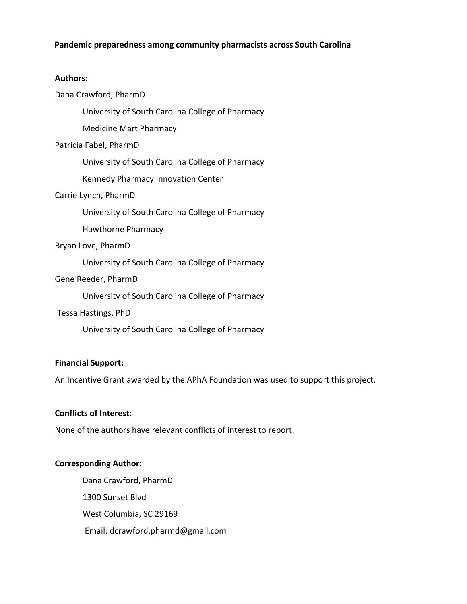# **Pandemic preparedness among community pharmacists across South Carolina**

### **Authors:**

## Dana Crawford, PharmD

University of South Carolina College of Pharmacy

Medicine Mart Pharmacy

## Patricia Fabel, PharmD

University of South Carolina College of Pharmacy

Kennedy Pharmacy Innovation Center

## Carrie Lynch, PharmD

University of South Carolina College of Pharmacy

Hawthorne Pharmacy

## Bryan Love, PharmD

University of South Carolina College of Pharmacy

## Gene Reeder, PharmD

University of South Carolina College of Pharmacy

## Tessa Hastings, PhD

University of South Carolina College of Pharmacy

# **Financial Support:**

An Incentive Grant awarded by the APhA Foundation was used to support this project.

## **Conflicts of Interest:**

None of the authors have relevant conflicts of interest to report.

# **Corresponding Author:**

Dana Crawford, PharmD 1300 Sunset Blvd West Columbia, SC 29169 Email: dcrawford.pharmd@gmail.com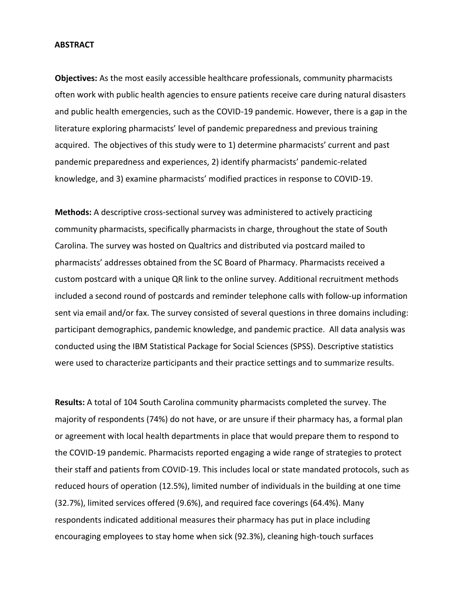#### **ABSTRACT**

**Objectives:** As the most easily accessible healthcare professionals, community pharmacists often work with public health agencies to ensure patients receive care during natural disasters and public health emergencies, such as the COVID-19 pandemic. However, there is a gap in the literature exploring pharmacists' level of pandemic preparedness and previous training acquired. The objectives of this study were to 1) determine pharmacists' current and past pandemic preparedness and experiences, 2) identify pharmacists' pandemic-related knowledge, and 3) examine pharmacists' modified practices in response to COVID-19.

**Methods:** A descriptive cross-sectional survey was administered to actively practicing community pharmacists, specifically pharmacists in charge, throughout the state of South Carolina. The survey was hosted on Qualtrics and distributed via postcard mailed to pharmacists' addresses obtained from the SC Board of Pharmacy. Pharmacists received a custom postcard with a unique QR link to the online survey. Additional recruitment methods included a second round of postcards and reminder telephone calls with follow-up information sent via email and/or fax. The survey consisted of several questions in three domains including: participant demographics, pandemic knowledge, and pandemic practice. All data analysis was conducted using the IBM Statistical Package for Social Sciences (SPSS). Descriptive statistics were used to characterize participants and their practice settings and to summarize results.

**Results:** A total of 104 South Carolina community pharmacists completed the survey. The majority of respondents (74%) do not have, or are unsure if their pharmacy has, a formal plan or agreement with local health departments in place that would prepare them to respond to the COVID-19 pandemic. Pharmacists reported engaging a wide range of strategies to protect their staff and patients from COVID-19. This includes local or state mandated protocols, such as reduced hours of operation (12.5%), limited number of individuals in the building at one time (32.7%), limited services offered (9.6%), and required face coverings (64.4%). Many respondents indicated additional measures their pharmacy has put in place including encouraging employees to stay home when sick (92.3%), cleaning high-touch surfaces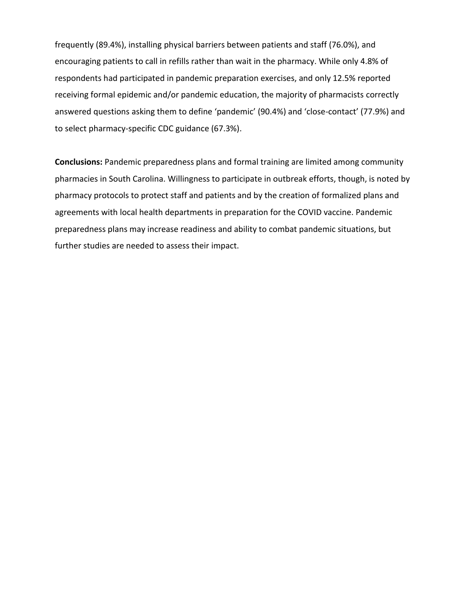frequently (89.4%), installing physical barriers between patients and staff (76.0%), and encouraging patients to call in refills rather than wait in the pharmacy. While only 4.8% of respondents had participated in pandemic preparation exercises, and only 12.5% reported receiving formal epidemic and/or pandemic education, the majority of pharmacists correctly answered questions asking them to define 'pandemic' (90.4%) and 'close-contact' (77.9%) and to select pharmacy-specific CDC guidance (67.3%).

**Conclusions:** Pandemic preparedness plans and formal training are limited among community pharmacies in South Carolina. Willingness to participate in outbreak efforts, though, is noted by pharmacy protocols to protect staff and patients and by the creation of formalized plans and agreements with local health departments in preparation for the COVID vaccine. Pandemic preparedness plans may increase readiness and ability to combat pandemic situations, but further studies are needed to assess their impact.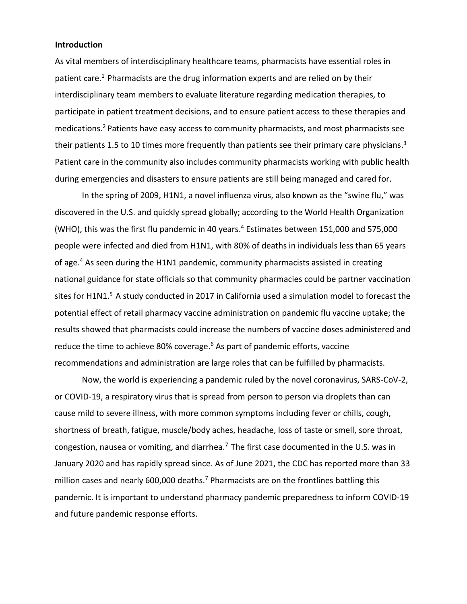#### **Introduction**

As vital members of interdisciplinary healthcare teams, pharmacists have essential roles in patient care.<sup>1</sup> Pharmacists are the drug information experts and are relied on by their interdisciplinary team members to evaluate literature regarding medication therapies, to participate in patient treatment decisions, and to ensure patient access to these therapies and medications.<sup>2</sup> Patients have easy access to community pharmacists, and most pharmacists see their patients 1.5 to 10 times more frequently than patients see their primary care physicians.<sup>3</sup> Patient care in the community also includes community pharmacists working with public health during emergencies and disasters to ensure patients are still being managed and cared for.

In the spring of 2009, H1N1, a novel influenza virus, also known as the "swine flu," was discovered in the U.S. and quickly spread globally; according to the World Health Organization (WHO), this was the first flu pandemic in 40 years. <sup>4</sup> Estimates between 151,000 and 575,000 people were infected and died from H1N1, with 80% of deaths in individuals less than 65 years of age.<sup>4</sup> As seen during the H1N1 pandemic, community pharmacists assisted in creating national guidance for state officials so that community pharmacies could be partner vaccination sites for H1N1.<sup>5</sup> A study conducted in 2017 in California used a simulation model to forecast the potential effect of retail pharmacy vaccine administration on pandemic flu vaccine uptake; the results showed that pharmacists could increase the numbers of vaccine doses administered and reduce the time to achieve 80% coverage. <sup>6</sup> As part of pandemic efforts, vaccine recommendations and administration are large roles that can be fulfilled by pharmacists.

Now, the world is experiencing a pandemic ruled by the novel coronavirus, SARS-CoV-2, or COVID-19, a respiratory virus that is spread from person to person via droplets than can cause mild to severe illness, with more common symptoms including fever or chills, cough, shortness of breath, fatigue, muscle/body aches, headache, loss of taste or smell, sore throat, congestion, nausea or vomiting, and diarrhea.<sup>7</sup> The first case documented in the U.S. was in January 2020 and has rapidly spread since. As of June 2021, the CDC has reported more than 33 million cases and nearly 600,000 deaths.<sup>7</sup> Pharmacists are on the frontlines battling this pandemic. It is important to understand pharmacy pandemic preparedness to inform COVID-19 and future pandemic response efforts.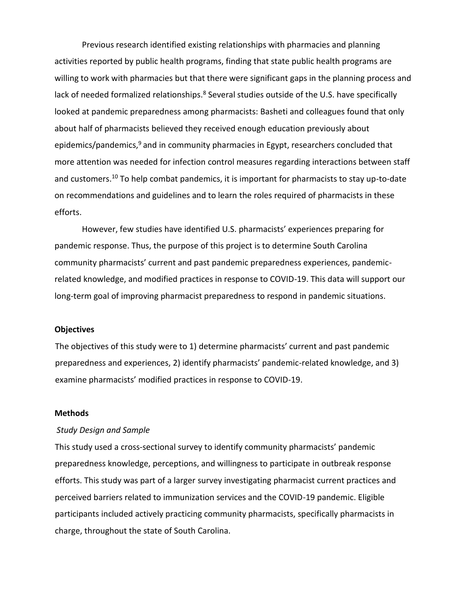Previous research identified existing relationships with pharmacies and planning activities reported by public health programs, finding that state public health programs are willing to work with pharmacies but that there were significant gaps in the planning process and lack of needed formalized relationships.<sup>8</sup> Several studies outside of the U.S. have specifically looked at pandemic preparedness among pharmacists: Basheti and colleagues found that only about half of pharmacists believed they received enough education previously about epidemics/pandemics, <sup>9</sup> and in community pharmacies in Egypt, researchers concluded that more attention was needed for infection control measures regarding interactions between staff and customers. <sup>10</sup> To help combat pandemics, it is important for pharmacists to stay up-to-date on recommendations and guidelines and to learn the roles required of pharmacists in these efforts.

However, few studies have identified U.S. pharmacists' experiences preparing for pandemic response. Thus, the purpose of this project is to determine South Carolina community pharmacists' current and past pandemic preparedness experiences, pandemicrelated knowledge, and modified practices in response to COVID-19. This data will support our long-term goal of improving pharmacist preparedness to respond in pandemic situations.

#### **Objectives**

The objectives of this study were to 1) determine pharmacists' current and past pandemic preparedness and experiences, 2) identify pharmacists' pandemic-related knowledge, and 3) examine pharmacists' modified practices in response to COVID-19.

## **Methods**

#### *Study Design and Sample*

This study used a cross-sectional survey to identify community pharmacists' pandemic preparedness knowledge, perceptions, and willingness to participate in outbreak response efforts. This study was part of a larger survey investigating pharmacist current practices and perceived barriers related to immunization services and the COVID-19 pandemic. Eligible participants included actively practicing community pharmacists, specifically pharmacists in charge, throughout the state of South Carolina.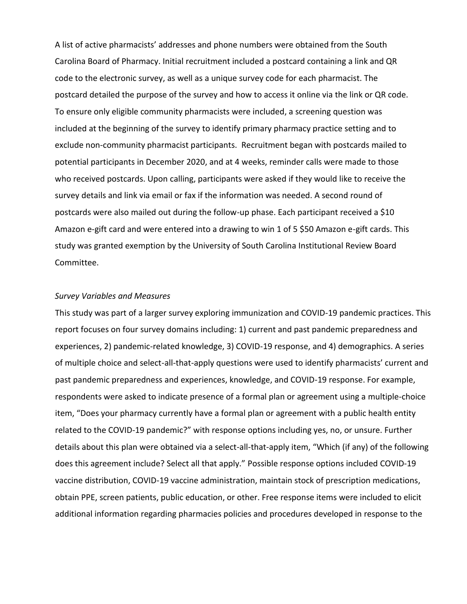A list of active pharmacists' addresses and phone numbers were obtained from the South Carolina Board of Pharmacy. Initial recruitment included a postcard containing a link and QR code to the electronic survey, as well as a unique survey code for each pharmacist. The postcard detailed the purpose of the survey and how to access it online via the link or QR code. To ensure only eligible community pharmacists were included, a screening question was included at the beginning of the survey to identify primary pharmacy practice setting and to exclude non-community pharmacist participants. Recruitment began with postcards mailed to potential participants in December 2020, and at 4 weeks, reminder calls were made to those who received postcards. Upon calling, participants were asked if they would like to receive the survey details and link via email or fax if the information was needed. A second round of postcards were also mailed out during the follow-up phase. Each participant received a \$10 Amazon e-gift card and were entered into a drawing to win 1 of 5 \$50 Amazon e-gift cards. This study was granted exemption by the University of South Carolina Institutional Review Board Committee.

## *Survey Variables and Measures*

This study was part of a larger survey exploring immunization and COVID-19 pandemic practices. This report focuses on four survey domains including: 1) current and past pandemic preparedness and experiences, 2) pandemic-related knowledge, 3) COVID-19 response, and 4) demographics. A series of multiple choice and select-all-that-apply questions were used to identify pharmacists' current and past pandemic preparedness and experiences, knowledge, and COVID-19 response. For example, respondents were asked to indicate presence of a formal plan or agreement using a multiple-choice item, "Does your pharmacy currently have a formal plan or agreement with a public health entity related to the COVID-19 pandemic?" with response options including yes, no, or unsure. Further details about this plan were obtained via a select-all-that-apply item, "Which (if any) of the following does this agreement include? Select all that apply." Possible response options included COVID-19 vaccine distribution, COVID-19 vaccine administration, maintain stock of prescription medications, obtain PPE, screen patients, public education, or other. Free response items were included to elicit additional information regarding pharmacies policies and procedures developed in response to the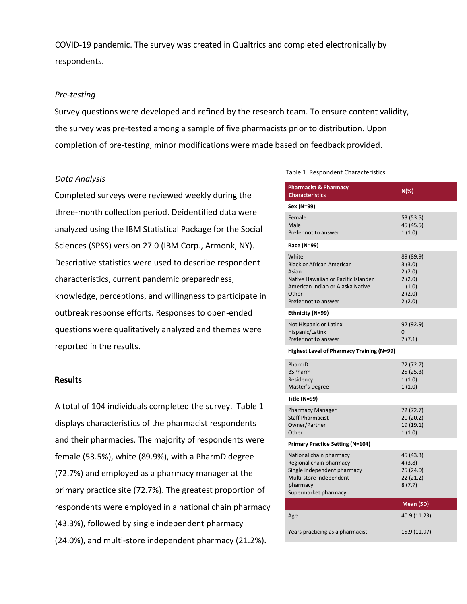COVID-19 pandemic. The survey was created in Qualtrics and completed electronically by respondents.

#### *Pre-testing*

Survey questions were developed and refined by the research team. To ensure content validity, the survey was pre-tested among a sample of five pharmacists prior to distribution. Upon completion of pre-testing, minor modifications were made based on feedback provided.

#### *Data Analysis*

Completed surveys were reviewed weekly during the three-month collection period. Deidentified data were analyzed using the IBM Statistical Package for the Social Sciences (SPSS) version 27.0 (IBM Corp., Armonk, NY). Descriptive statistics were used to describe respondent characteristics, current pandemic preparedness, knowledge, perceptions, and willingness to participate in outbreak response efforts. Responses to open-ended questions were qualitatively analyzed and themes were reported in the results.

#### **Results**

A total of 104 individuals completed the survey. Table 1 displays characteristics of the pharmacist respondents and their pharmacies. The majority of respondents were female (53.5%), white (89.9%), with a PharmD degree (72.7%) and employed as a pharmacy manager at the primary practice site (72.7%). The greatest proportion of respondents were employed in a national chain pharmacy (43.3%), followed by single independent pharmacy (24.0%), and multi-store independent pharmacy (21.2%).

#### Table 1. Respondent Characteristics

| <b>Pharmacist &amp; Pharmacy</b><br><b>Characteristics</b>                                                                                                     | N(%)                                                                  |
|----------------------------------------------------------------------------------------------------------------------------------------------------------------|-----------------------------------------------------------------------|
| Sex (N=99)                                                                                                                                                     |                                                                       |
| Female<br>Male<br>Prefer not to answer                                                                                                                         | 53 (53.5)<br>45 (45.5)<br>1(1.0)                                      |
| Race (N=99)                                                                                                                                                    |                                                                       |
| White<br><b>Black or African American</b><br>Asian<br>Native Hawaiian or Pacific Islander<br>American Indian or Alaska Native<br>Other<br>Prefer not to answer | 89 (89.9)<br>3(3.0)<br>2(2.0)<br>2(2.0)<br>1(1.0)<br>2(2.0)<br>2(2.0) |
| Ethnicity (N=99)                                                                                                                                               |                                                                       |
| Not Hispanic or Latinx<br>Hispanic/Latinx<br>Prefer not to answer                                                                                              | 92 (92.9)<br>$\Omega$<br>7(7.1)                                       |
| Highest Level of Pharmacy Training (N=99)                                                                                                                      |                                                                       |
| PharmD<br><b>BSPharm</b><br>Residency<br>Master's Degree                                                                                                       | 72 (72.7)<br>25 (25.3)<br>1(1.0)<br>1(1.0)                            |
| Title (N=99)                                                                                                                                                   |                                                                       |
| <b>Pharmacy Manager</b><br><b>Staff Pharmacist</b><br>Owner/Partner<br>Other                                                                                   | 72 (72.7)<br>20(20.2)<br>19 (19.1)<br>1(1.0)                          |
| <b>Primary Practice Setting (N=104)</b>                                                                                                                        |                                                                       |
| National chain pharmacy<br>Regional chain pharmacy<br>Single independent pharmacy<br>Multi-store independent<br>pharmacy<br>Supermarket pharmacy               | 45 (43.3)<br>4(3.8)<br>25 (24.0)<br>22 (21.2)<br>8(7.7)               |
|                                                                                                                                                                | Mean (SD)                                                             |
| Age                                                                                                                                                            | 40.9 (11.23)                                                          |
| Years practicing as a pharmacist                                                                                                                               | 15.9 (11.97)                                                          |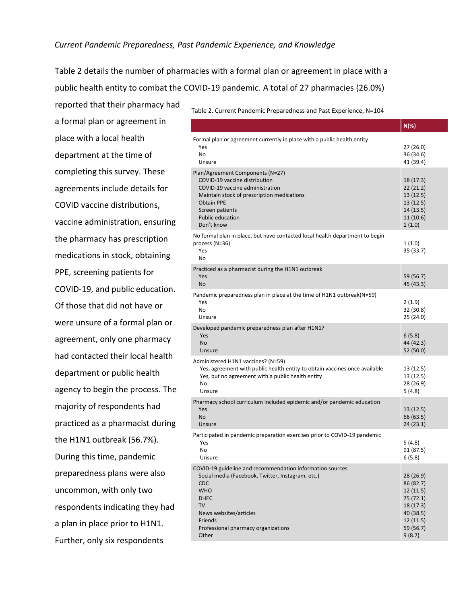#### *Current Pandemic Preparedness, Past Pandemic Experience, and Knowledge*

Table 2 details the number of pharmacies with a formal plan or agreement in place with a public health entity to combat the COVID-19 pandemic. A total of 27 pharmacies (26.0%)

reported that their pharmacy had a formal plan or agreement in place with a local health department at the time of completing this survey. These agreements include details for COVID vaccine distributions, vaccine administration, ensuring the pharmacy has prescription medications in stock, obtaining PPE, screening patients for COVID-19, and public education. Of those that did not have or were unsure of a formal plan or agreement, only one pharmacy had contacted their local health department or public health agency to begin the process. The majority of respondents had practiced as a pharmacist during the H1N1 outbreak (56.7%). During this time, pandemic preparedness plans were also uncommon, with only two respondents indicating they had a plan in place prior to H1N1. Further, only six respondents

Table 2. Current Pandemic Preparedness and Past Experience, N=104

|                                                                                                                                                                                                                                                      | $N(\%)$                                                                                                       |
|------------------------------------------------------------------------------------------------------------------------------------------------------------------------------------------------------------------------------------------------------|---------------------------------------------------------------------------------------------------------------|
| Formal plan or agreement currently in place with a public health entity<br>Yes<br>No.<br>Unsure                                                                                                                                                      | 27 (26.0)<br>36 (34.6)<br>41 (39.4)                                                                           |
| Plan/Agreement Components (N=27)<br>COVID-19 vaccine distribution<br>COVID-19 vaccine administration<br>Maintain stock of prescription medications<br><b>Obtain PPE</b><br>Screen patients<br><b>Public education</b><br>Don't know                  | 18 (17.3)<br>22(21.2)<br>13 (12.5)<br>13(12.5)<br>14 (13.5)<br>11(10.6)<br>1(1.0)                             |
| No formal plan in place, but have contacted local health department to begin<br>process (N=36)<br>Yes<br>No.                                                                                                                                         | 1(1.0)<br>35 (33.7)                                                                                           |
| Practiced as a pharmacist during the H1N1 outbreak<br>Yes<br>No.                                                                                                                                                                                     | 59 (56.7)<br>45 (43.3)                                                                                        |
| Pandemic preparedness plan in place at the time of H1N1 outbreak(N=59)<br>Yes<br>No.<br>Unsure                                                                                                                                                       | 2(1.9)<br>32 (30.8)<br>25 (24.0)                                                                              |
| Developed pandemic preparedness plan after H1N1?<br>Yes<br><b>No</b><br>Unsure                                                                                                                                                                       | 6(5.8)<br>44 (42.3)<br>52 (50.0)                                                                              |
| Administered H1N1 vaccines? (N=59)<br>Yes, agreement with public health entity to obtain vaccines once available<br>Yes, but no agreement with a public health entity<br>No<br>Unsure                                                                | 13 (12.5)<br>13 (12.5)<br>28 (26.9)<br>5 (4.8)                                                                |
| Pharmacy school curriculum included epidemic and/or pandemic education<br>Yes<br><b>No</b><br>Unsure                                                                                                                                                 | 13 (12.5)<br>66 (63.5)<br>24 (23.1)                                                                           |
| Participated in pandemic preparation exercises prior to COVID-19 pandemic<br>Yes<br>No<br>Unsure                                                                                                                                                     | 5 (4.8)<br>91 (87.5)<br>6(5.8)                                                                                |
| COVID-19 guideline and recommendation information sources<br>Social media (Facebook, Twitter, Instagram, etc.)<br><b>CDC</b><br><b>WHO</b><br><b>DHEC</b><br>TV<br>News websites/articles<br>Friends<br>Professional pharmacy organizations<br>Other | 28 (26.9)<br>86 (82.7)<br>12(11.5)<br>75 (72.1)<br>18 (17.3)<br>40 (38.5)<br>12 (11.5)<br>59 (56.7)<br>9(8.7) |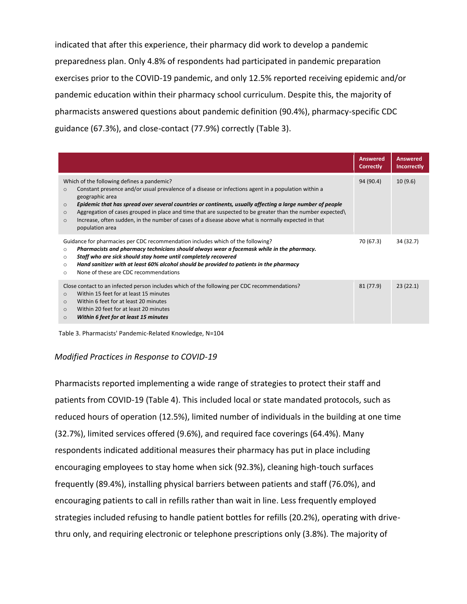indicated that after this experience, their pharmacy did work to develop a pandemic preparedness plan. Only 4.8% of respondents had participated in pandemic preparation exercises prior to the COVID-19 pandemic, and only 12.5% reported receiving epidemic and/or pandemic education within their pharmacy school curriculum. Despite this, the majority of pharmacists answered questions about pandemic definition (90.4%), pharmacy-specific CDC guidance (67.3%), and close-contact (77.9%) correctly (Table 3).

|                                                                                                                                                                                                                                                                                                                                                                                                                                                                                                                                                                     | <b>Answered</b><br><b>Correctly</b> | <b>Answered</b><br><b>Incorrectly</b> |
|---------------------------------------------------------------------------------------------------------------------------------------------------------------------------------------------------------------------------------------------------------------------------------------------------------------------------------------------------------------------------------------------------------------------------------------------------------------------------------------------------------------------------------------------------------------------|-------------------------------------|---------------------------------------|
| Which of the following defines a pandemic?<br>Constant presence and/or usual prevalence of a disease or infections agent in a population within a<br>$\circ$<br>geographic area<br>Epidemic that has spread over several countries or continents, usually affecting a large number of people<br>$\circ$<br>Aggregation of cases grouped in place and time that are suspected to be greater than the number expected<br>$\circ$<br>Increase, often sudden, in the number of cases of a disease above what is normally expected in that<br>$\circ$<br>population area | 94 (90.4)                           | 10(9.6)                               |
| Guidance for pharmacies per CDC recommendation includes which of the following?<br>Pharmacists and pharmacy technicians should always wear a facemask while in the pharmacy.<br>$\circ$<br>Staff who are sick should stay home until completely recovered<br>$\circ$<br>Hand sanitizer with at least 60% alcohol should be provided to patients in the pharmacy<br>$\circ$<br>None of these are CDC recommendations<br>$\circ$                                                                                                                                      | 70 (67.3)                           | 34 (32.7)                             |
| Close contact to an infected person includes which of the following per CDC recommendations?<br>Within 15 feet for at least 15 minutes<br>$\circ$<br>Within 6 feet for at least 20 minutes<br>$\circ$<br>Within 20 feet for at least 20 minutes<br>$\Omega$<br>Within 6 feet for at least 15 minutes<br>$\circ$                                                                                                                                                                                                                                                     | 81 (77.9)                           | 23(22.1)                              |

Table 3. Pharmacists' Pandemic-Related Knowledge, N=104

## *Modified Practices in Response to COVID-19*

Pharmacists reported implementing a wide range of strategies to protect their staff and patients from COVID-19 (Table 4). This included local or state mandated protocols, such as reduced hours of operation (12.5%), limited number of individuals in the building at one time (32.7%), limited services offered (9.6%), and required face coverings (64.4%). Many respondents indicated additional measures their pharmacy has put in place including encouraging employees to stay home when sick (92.3%), cleaning high-touch surfaces frequently (89.4%), installing physical barriers between patients and staff (76.0%), and encouraging patients to call in refills rather than wait in line. Less frequently employed strategies included refusing to handle patient bottles for refills (20.2%), operating with drivethru only, and requiring electronic or telephone prescriptions only (3.8%). The majority of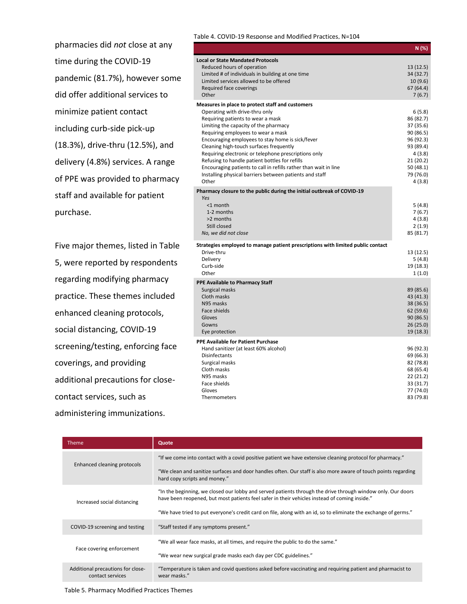pharmacies did *not* close at any time during the COVID-19 pandemic (81.7%), however some did offer additional services to minimize patient contact including curb-side pick-up (18.3%), drive-thru (12.5%), and delivery (4.8%) services. A range of PPE was provided to pharmacy staff and available for patient purchase.

Five major themes, listed in Table 5, were reported by respondents regarding modifying pharmacy practice. These themes included enhanced cleaning protocols, social distancing, COVID-19 screening/testing, enforcing face coverings, and providing additional precautions for closecontact services, such as administering immunizations.

Table 4. COVID-19 Response and Modified Practices, N=104

|                                                                                                                                                                                                                                                                                                                                                                                                                                                                                                                                                         | N(%)                                                                                                                               |
|---------------------------------------------------------------------------------------------------------------------------------------------------------------------------------------------------------------------------------------------------------------------------------------------------------------------------------------------------------------------------------------------------------------------------------------------------------------------------------------------------------------------------------------------------------|------------------------------------------------------------------------------------------------------------------------------------|
| <b>Local or State Mandated Protocols</b><br>Reduced hours of operation<br>Limited # of individuals in building at one time<br>Limited services allowed to be offered<br>Required face coverings<br>Other                                                                                                                                                                                                                                                                                                                                                | 13(12.5)<br>34 (32.7)<br>10(9.6)<br>67 (64.4)<br>7(6.7)                                                                            |
| Measures in place to protect staff and customers<br>Operating with drive-thru only<br>Requiring patients to wear a mask<br>Limiting the capacity of the pharmacy<br>Requiring employees to wear a mask<br>Encouraging employees to stay home is sick/fever<br>Cleaning high-touch surfaces frequently<br>Requiring electronic or telephone prescriptions only<br>Refusing to handle patient bottles for refills<br>Encouraging patients to call in refills rather than wait in line<br>Installing physical barriers between patients and staff<br>Other | 6(5.8)<br>86 (82.7)<br>37 (35.6)<br>90 (86.5)<br>96 (92.3)<br>93 (89.4)<br>4(3.8)<br>21 (20.2)<br>50 (48.1)<br>79 (76.0)<br>4(3.8) |
| Pharmacy closure to the public during the initial outbreak of COVID-19<br>Yes<br>$<$ 1 month<br>1-2 months<br>>2 months<br>Still closed<br>No, we did not close                                                                                                                                                                                                                                                                                                                                                                                         | 5(4.8)<br>7(6.7)<br>4(3.8)<br>2(1.9)<br>85 (81.7)                                                                                  |
| Strategies employed to manage patient prescriptions with limited public contact<br>Drive-thru<br>Delivery<br>Curb-side<br>Other                                                                                                                                                                                                                                                                                                                                                                                                                         | 13 (12.5)<br>5 (4.8)<br>19 (18.3)<br>1(1.0)                                                                                        |
| PPE Available to Pharmacy Staff<br>Surgical masks<br>Cloth masks<br>N95 masks<br>Face shields<br>Gloves<br>Gowns<br>Eye protection                                                                                                                                                                                                                                                                                                                                                                                                                      | 89 (85.6)<br>43 (41.3)<br>38 (36.5)<br>62 (59.6)<br>90(86.5)<br>26(25.0)<br>19(18.3)                                               |
| <b>PPE Available for Patient Purchase</b><br>Hand sanitizer (at least 60% alcohol)<br>Disinfectants<br>Surgical masks<br>Cloth masks<br>N95 masks<br>Face shields<br>Gloves<br>Thermometers                                                                                                                                                                                                                                                                                                                                                             | 96 (92.3)<br>69 (66.3)<br>82 (78.8)<br>68 (65.4)<br>22 (21.2)<br>33 (31.7)<br>77 (74.0)<br>83 (79.8)                               |

| <b>Theme</b>                                          | Quote                                                                                                                                                                                                                                                                                                                           |
|-------------------------------------------------------|---------------------------------------------------------------------------------------------------------------------------------------------------------------------------------------------------------------------------------------------------------------------------------------------------------------------------------|
| Enhanced cleaning protocols                           | "If we come into contact with a covid positive patient we have extensive cleaning protocol for pharmacy."<br>"We clean and sanitize surfaces and door handles often. Our staff is also more aware of touch points regarding<br>hard copy scripts and money."                                                                    |
| Increased social distancing                           | "In the beginning, we closed our lobby and served patients through the drive through window only. Our doors<br>have been reopened, but most patients feel safer in their vehicles instead of coming inside."<br>"We have tried to put everyone's credit card on file, along with an id, so to eliminate the exchange of germs." |
| COVID-19 screening and testing                        | "Staff tested if any symptoms present."                                                                                                                                                                                                                                                                                         |
| Face covering enforcement                             | "We all wear face masks, at all times, and require the public to do the same."<br>"We wear new surgical grade masks each day per CDC guidelines."                                                                                                                                                                               |
| Additional precautions for close-<br>contact services | "Temperature is taken and covid questions asked before vaccinating and requiring patient and pharmacist to<br>wear masks."                                                                                                                                                                                                      |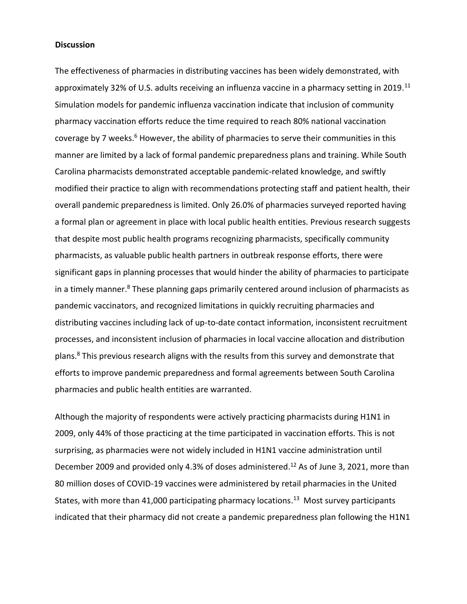#### **Discussion**

The effectiveness of pharmacies in distributing vaccines has been widely demonstrated, with approximately 32% of U.S. adults receiving an influenza vaccine in a pharmacy setting in 2019.<sup>11</sup> Simulation models for pandemic influenza vaccination indicate that inclusion of community pharmacy vaccination efforts reduce the time required to reach 80% national vaccination coverage by 7 weeks.<sup>6</sup> However, the ability of pharmacies to serve their communities in this manner are limited by a lack of formal pandemic preparedness plans and training. While South Carolina pharmacists demonstrated acceptable pandemic-related knowledge, and swiftly modified their practice to align with recommendations protecting staff and patient health, their overall pandemic preparedness is limited. Only 26.0% of pharmacies surveyed reported having a formal plan or agreement in place with local public health entities. Previous research suggests that despite most public health programs recognizing pharmacists, specifically community pharmacists, as valuable public health partners in outbreak response efforts, there were significant gaps in planning processes that would hinder the ability of pharmacies to participate in a timely manner.<sup>8</sup> These planning gaps primarily centered around inclusion of pharmacists as pandemic vaccinators, and recognized limitations in quickly recruiting pharmacies and distributing vaccines including lack of up-to-date contact information, inconsistent recruitment processes, and inconsistent inclusion of pharmacies in local vaccine allocation and distribution plans.<sup>8</sup> This previous research aligns with the results from this survey and demonstrate that efforts to improve pandemic preparedness and formal agreements between South Carolina pharmacies and public health entities are warranted.

Although the majority of respondents were actively practicing pharmacists during H1N1 in 2009, only 44% of those practicing at the time participated in vaccination efforts. This is not surprising, as pharmacies were not widely included in H1N1 vaccine administration until December 2009 and provided only 4.3% of doses administered.<sup>12</sup> As of June 3, 2021, more than 80 million doses of COVID-19 vaccines were administered by retail pharmacies in the United States, with more than 41,000 participating pharmacy locations.<sup>13</sup> Most survey participants indicated that their pharmacy did not create a pandemic preparedness plan following the H1N1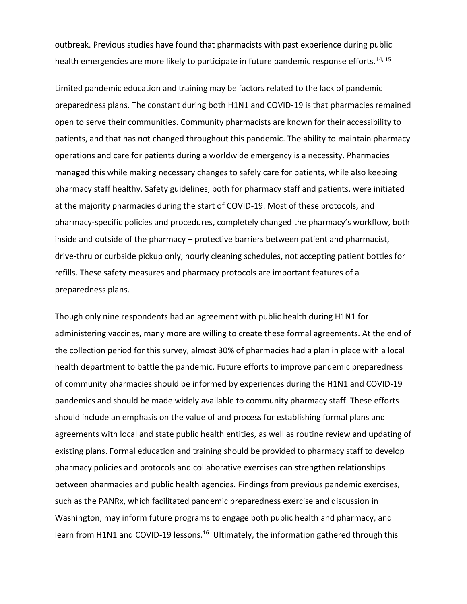outbreak. Previous studies have found that pharmacists with past experience during public health emergencies are more likely to participate in future pandemic response efforts.<sup>14, 15</sup>

Limited pandemic education and training may be factors related to the lack of pandemic preparedness plans. The constant during both H1N1 and COVID-19 is that pharmacies remained open to serve their communities. Community pharmacists are known for their accessibility to patients, and that has not changed throughout this pandemic. The ability to maintain pharmacy operations and care for patients during a worldwide emergency is a necessity. Pharmacies managed this while making necessary changes to safely care for patients, while also keeping pharmacy staff healthy. Safety guidelines, both for pharmacy staff and patients, were initiated at the majority pharmacies during the start of COVID-19. Most of these protocols, and pharmacy-specific policies and procedures, completely changed the pharmacy's workflow, both inside and outside of the pharmacy – protective barriers between patient and pharmacist, drive-thru or curbside pickup only, hourly cleaning schedules, not accepting patient bottles for refills. These safety measures and pharmacy protocols are important features of a preparedness plans.

Though only nine respondents had an agreement with public health during H1N1 for administering vaccines, many more are willing to create these formal agreements. At the end of the collection period for this survey, almost 30% of pharmacies had a plan in place with a local health department to battle the pandemic. Future efforts to improve pandemic preparedness of community pharmacies should be informed by experiences during the H1N1 and COVID-19 pandemics and should be made widely available to community pharmacy staff. These efforts should include an emphasis on the value of and process for establishing formal plans and agreements with local and state public health entities, as well as routine review and updating of existing plans. Formal education and training should be provided to pharmacy staff to develop pharmacy policies and protocols and collaborative exercises can strengthen relationships between pharmacies and public health agencies. Findings from previous pandemic exercises, such as the PANRx, which facilitated pandemic preparedness exercise and discussion in Washington, may inform future programs to engage both public health and pharmacy, and learn from H1N1 and COVID-19 lessons.<sup>16</sup> Ultimately, the information gathered through this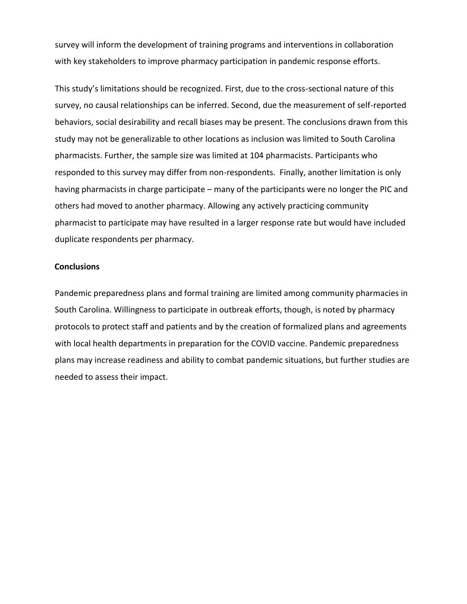survey will inform the development of training programs and interventions in collaboration with key stakeholders to improve pharmacy participation in pandemic response efforts.

This study's limitations should be recognized. First, due to the cross-sectional nature of this survey, no causal relationships can be inferred. Second, due the measurement of self-reported behaviors, social desirability and recall biases may be present. The conclusions drawn from this study may not be generalizable to other locations as inclusion was limited to South Carolina pharmacists. Further, the sample size was limited at 104 pharmacists. Participants who responded to this survey may differ from non-respondents. Finally, another limitation is only having pharmacists in charge participate – many of the participants were no longer the PIC and others had moved to another pharmacy. Allowing any actively practicing community pharmacist to participate may have resulted in a larger response rate but would have included duplicate respondents per pharmacy.

### **Conclusions**

Pandemic preparedness plans and formal training are limited among community pharmacies in South Carolina. Willingness to participate in outbreak efforts, though, is noted by pharmacy protocols to protect staff and patients and by the creation of formalized plans and agreements with local health departments in preparation for the COVID vaccine. Pandemic preparedness plans may increase readiness and ability to combat pandemic situations, but further studies are needed to assess their impact.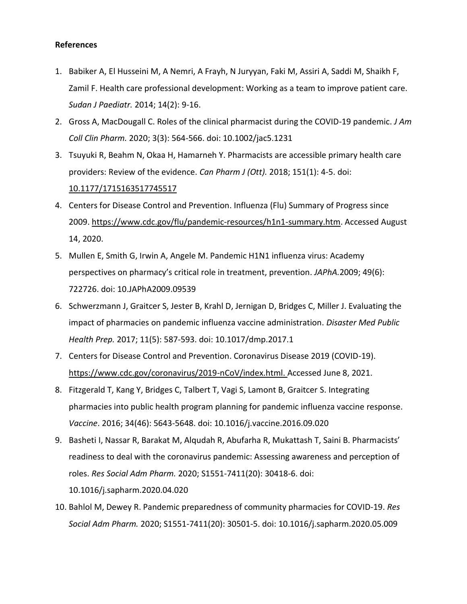## **References**

- 1. Babiker A, El Husseini M, A Nemri, A Frayh, N Juryyan, Faki M, Assiri A, Saddi M, Shaikh F, Zamil F. Health care professional development: Working as a team to improve patient care. *Sudan J Paediatr.* 2014; 14(2): 9-16.
- 2. Gross A, MacDougall C. Roles of the clinical pharmacist during the COVID-19 pandemic. *J Am Coll Clin Pharm.* 2020; 3(3): 564-566. doi: 10.1002/jac5.1231
- 3. Tsuyuki R, Beahm N, Okaa H, Hamarneh Y. Pharmacists are accessible primary health care providers: Review of the evidence. *Can Pharm J (Ott).* 2018; 151(1): 4-5. doi: 10.1177/1715163517745517
- 4. Centers for Disease Control and Prevention. Influenza (Flu) Summary of Progress since 2009. https://www.cdc.gov/flu/pandemic-resources/h1n1-summary.htm. Accessed August 14, 2020.
- 5. Mullen E, Smith G, Irwin A, Angele M. Pandemic H1N1 influenza virus: Academy perspectives on pharmacy's critical role in treatment, prevention. *JAPhA.*2009; 49(6): 722726. doi: 10.JAPhA2009.09539
- 6. Schwerzmann J, Graitcer S, Jester B, Krahl D, Jernigan D, Bridges C, Miller J. Evaluating the impact of pharmacies on pandemic influenza vaccine administration. *Disaster Med Public Health Prep.* 2017; 11(5): 587-593. doi: 10.1017/dmp.2017.1
- 7. Centers for Disease Control and Prevention. Coronavirus Disease 2019 (COVID-19). [https://www.cdc.gov/coronavirus/2019-nCoV/index.html. Accessed June 8,](https://www.cdc.gov/coronavirus/2019-nCoV/index.html.%20Accessed%20June%208) 2021.
- 8. Fitzgerald T, Kang Y, Bridges C, Talbert T, Vagi S, Lamont B, Graitcer S. Integrating pharmacies into public health program planning for pandemic influenza vaccine response. *Vaccine*. 2016; 34(46): 5643-5648. doi: 10.1016/j.vaccine.2016.09.020
- 9. Basheti I, Nassar R, Barakat M, Alqudah R, Abufarha R, Mukattash T, Saini B. Pharmacists' readiness to deal with the coronavirus pandemic: Assessing awareness and perception of roles. *Res Social Adm Pharm.* 2020; S1551-7411(20): 30418-6. doi: 10.1016/j.sapharm.2020.04.020
- 10. Bahlol M, Dewey R. Pandemic preparedness of community pharmacies for COVID-19. *Res Social Adm Pharm.* 2020; S1551-7411(20): 30501-5. doi: 10.1016/j.sapharm.2020.05.009